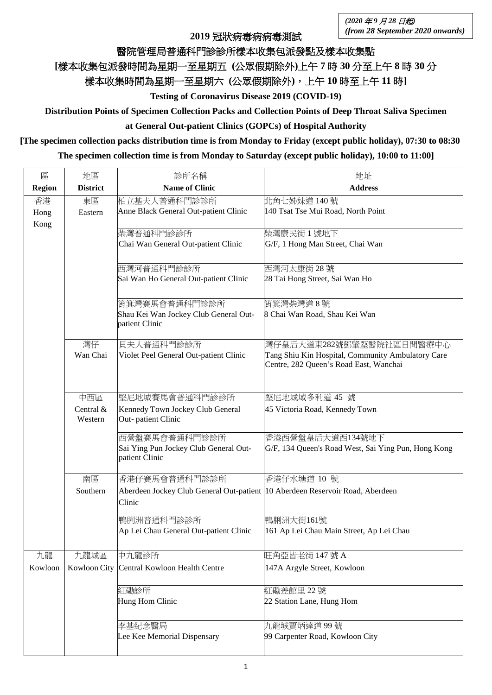**2019** 冠狀病毒病病毒測試

## 醫院管理局普通科門診診所樣本收集包派發點及樣本收集點

## **[**樣本收集包派發時間為星期一至星期五 **(**公眾假期除外**)**上午 **7** 時 **30** 分至上午 **8** 時 **30** 分

樣本收集時間為星期一至星期六 **(**公眾假期除外**)**,上午 **10** 時至上午 **11** 時**]**

**Testing of Coronavirus Disease 2019 (COVID-19)**

**Distribution Points of Specimen Collection Packs and Collection Points of Deep Throat Saliva Specimen** 

**at General Out-patient Clinics (GOPCs) of Hospital Authority**

## **[The specimen collection packs distribution time is from Monday to Friday (except public holiday), 07:30 to 08:30**

**The specimen collection time is from Monday to Saturday (except public holiday), 10:00 to 11:00]**

| 區             | 地區                   | 診所名稱                                                                          | 地址                                                                                          |
|---------------|----------------------|-------------------------------------------------------------------------------|---------------------------------------------------------------------------------------------|
| <b>Region</b> | <b>District</b>      | <b>Name of Clinic</b>                                                         | <b>Address</b>                                                                              |
| 香港            | 東區                   | 柏立基夫人普通科門診診所                                                                  | 北角七姊妹道 140號                                                                                 |
| Hong          | Eastern              | Anne Black General Out-patient Clinic                                         | 140 Tsat Tse Mui Road, North Point                                                          |
| Kong          |                      | 柴灣普通科門診診所                                                                     | 柴灣康民街 1號地下                                                                                  |
|               |                      | Chai Wan General Out-patient Clinic                                           | G/F, 1 Hong Man Street, Chai Wan                                                            |
|               |                      |                                                                               |                                                                                             |
|               |                      | 西灣河普通科門診診所                                                                    | 西灣河太康街 28號                                                                                  |
|               |                      | Sai Wan Ho General Out-patient Clinic                                         | 28 Tai Hong Street, Sai Wan Ho                                                              |
|               |                      |                                                                               |                                                                                             |
|               |                      | 筲箕灣賽馬會普通科門診診所<br>Shau Kei Wan Jockey Club General Out-                        | 筲箕灣柴灣道8號<br>8 Chai Wan Road, Shau Kei Wan                                                   |
|               |                      | patient Clinic                                                                |                                                                                             |
|               |                      |                                                                               |                                                                                             |
|               | 灣仔                   | 貝夫人普通科門診診所                                                                    | 灣仔皇后大道東282號鄧肇堅醫院社區日間醫療中心                                                                    |
|               | Wan Chai             | Violet Peel General Out-patient Clinic                                        | Tang Shiu Kin Hospital, Community Ambulatory Care<br>Centre, 282 Queen's Road East, Wanchai |
|               |                      |                                                                               |                                                                                             |
|               |                      |                                                                               |                                                                                             |
|               | 中西區                  | 堅尼地城賽馬會普通科門診診所                                                                | 堅尼地城域多利道 45 號                                                                               |
|               | Central &<br>Western | Kennedy Town Jockey Club General<br>Out-patient Clinic                        | 45 Victoria Road, Kennedy Town                                                              |
|               |                      |                                                                               |                                                                                             |
|               |                      | 西營盤賽馬會普通科門診診所                                                                 | 香港西營盤皇后大道西134號地下<br>G/F, 134 Queen's Road West, Sai Ying Pun, Hong Kong                     |
|               |                      | Sai Ying Pun Jockey Club General Out-<br>patient Clinic                       |                                                                                             |
|               |                      |                                                                               |                                                                                             |
|               | 南區                   | 香港仔賽馬會普通科門診診所                                                                 | 香港仔水塘道 10 號                                                                                 |
|               | Southern             | Aberdeen Jockey Club General Out-patient 10 Aberdeen Reservoir Road, Aberdeen |                                                                                             |
|               |                      | Clinic                                                                        |                                                                                             |
|               |                      | 鴨脷洲普通科門診診所                                                                    | 鴨脷洲大街161號                                                                                   |
|               |                      | Ap Lei Chau General Out-patient Clinic                                        | 161 Ap Lei Chau Main Street, Ap Lei Chau                                                    |
| 九龍            | 九龍城區                 | 中九龍診所                                                                         | 旺角亞皆老街 147號 A                                                                               |
| Kowloon       |                      | Kowloon City Central Kowloon Health Centre                                    | 147A Argyle Street, Kowloon                                                                 |
|               |                      |                                                                               |                                                                                             |
|               |                      | 紅磡診所                                                                          | 紅磡差館里 22號                                                                                   |
|               |                      | Hung Hom Clinic                                                               | 22 Station Lane, Hung Hom                                                                   |
|               |                      |                                                                               |                                                                                             |
|               |                      | 李基紀念醫局<br>Lee Kee Memorial Dispensary                                         | 九龍城賈炳達道99號<br>99 Carpenter Road, Kowloon City                                               |
|               |                      |                                                                               |                                                                                             |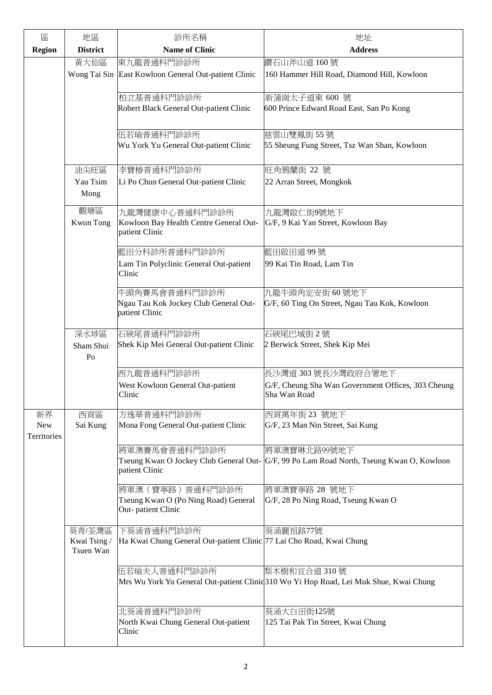| 區                  | 地區                                  | 診所名稱                                                                               | 地址                                                                                                       |
|--------------------|-------------------------------------|------------------------------------------------------------------------------------|----------------------------------------------------------------------------------------------------------|
| <b>Region</b>      | <b>District</b>                     | <b>Name of Clinic</b>                                                              | <b>Address</b>                                                                                           |
|                    | 黃大仙區                                | 東九龍普通科門診診所                                                                         | 鑽石山斧山道 160號                                                                                              |
|                    |                                     | Wong Tai Sin East Kowloon General Out-patient Clinic                               | 160 Hammer Hill Road, Diamond Hill, Kowloon                                                              |
|                    |                                     | 柏立基普通科門診診所                                                                         | 新蒲崗太子道東 600 號                                                                                            |
|                    |                                     | Robert Black General Out-patient Clinic                                            | 600 Prince Edward Road East, San Po Kong                                                                 |
|                    |                                     | 伍若瑜普通科門診診所                                                                         | 慈雲山雙鳳街 55號                                                                                               |
|                    |                                     | Wu York Yu General Out-patient Clinic                                              | 55 Sheung Fung Street, Tsz Wan Shan, Kowloon                                                             |
|                    | 油尖旺區                                | 李寶椿普通科門診診所                                                                         | 旺角鴉蘭街 22 號                                                                                               |
|                    | Yau Tsim<br>Mong                    | Li Po Chun General Out-patient Clinic                                              | 22 Arran Street, Mongkok                                                                                 |
|                    | 觀塘區                                 | 九龍灣健康中心普通科門診診所                                                                     | 九龍灣啟仁街9號地下                                                                                               |
|                    | Kwun Tong                           | Kowloon Bay Health Centre General Out-<br>patient Clinic                           | G/F, 9 Kai Yan Street, Kowloon Bay                                                                       |
|                    |                                     | 藍田分科診所普通科門診診所                                                                      | 藍田啟田道99號                                                                                                 |
|                    |                                     | Lam Tin Polyclinic General Out-patient<br>Clinic                                   | 99 Kai Tin Road, Lam Tin                                                                                 |
|                    |                                     | 牛頭角賽馬會普通科門診診所<br>Ngau Tau Kok Jockey Club General Out-<br>patient Clinic           | 九龍牛頭角定安街60號地下<br>G/F, 60 Ting On Street, Ngau Tau Kok, Kowloon                                           |
|                    | 深水埗區                                | 石硤尾普通科門診診所                                                                         | 石硤尾巴域街 2號                                                                                                |
|                    | Sham Shui<br>P <sub>0</sub>         | Shek Kip Mei General Out-patient Clinic                                            | 2 Berwick Street, Shek Kip Mei                                                                           |
|                    |                                     | 西九龍普通科門診診所                                                                         | 長沙灣道 303 號長沙灣政府合署地下                                                                                      |
|                    |                                     | West Kowloon General Out-patient<br>Clinic                                         | G/F, Cheung Sha Wan Government Offices, 303 Cheung<br>Sha Wan Road                                       |
| 新界                 | 西貢區                                 | 方逸華普通科門診診所                                                                         | 西貢萬年街 23 號地下                                                                                             |
| New<br>Territories | Sai Kung                            | Mona Fong General Out-patient Clinic                                               | G/F, 23 Man Nin Street, Sai Kung                                                                         |
|                    |                                     | 將軍澳賽馬會普通科門診診所<br>patient Clinic                                                    | 將軍澳寶琳北路99號地下<br>Tseung Kwan O Jockey Club General Out- G/F, 99 Po Lam Road North, Tseung Kwan O, Kowloon |
|                    |                                     | 將軍澳(寶寧路)普通科門診診所<br>Tseung Kwan O (Po Ning Road) General<br>Out-patient Clinic      | 將軍澳寶寧路 28 號地下<br>G/F, 28 Po Ning Road, Tseung Kwan O                                                     |
|                    | 葵青/荃灣區<br>Kwai Tsing /<br>Tsuen Wan | 下葵涌普通科門診診所<br>Ha Kwai Chung General Out-patient Clinic 77 Lai Cho Road, Kwai Chung | 葵涌麗祖路77號                                                                                                 |
|                    |                                     | 伍若瑜夫人普通科門診診所                                                                       | 梨木樹和宜合道310號<br>Mrs Wu York Yu General Out-patient Clinid 310 Wo Yi Hop Road, Lei Muk Shue, Kwai Chung    |
|                    |                                     | 北葵涌普通科門診診所<br>North Kwai Chung General Out-patient<br>Clinic                       | 葵涌大白田街125號<br>125 Tai Pak Tin Street, Kwai Chung                                                         |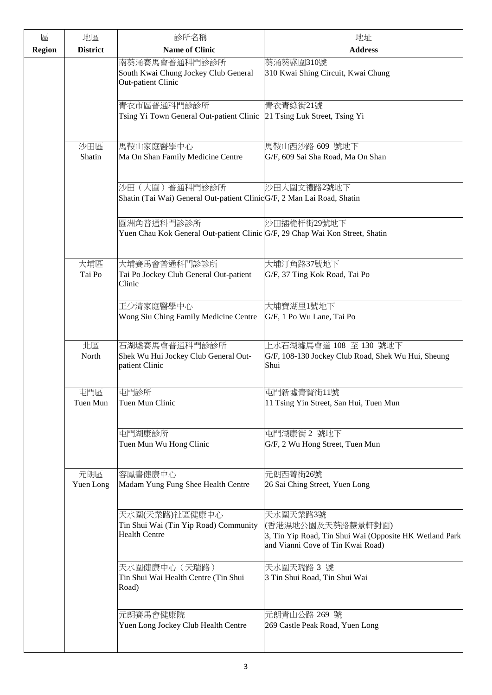| 區             | 地區               | 診所名稱                                                                                       | 地址                                                                                                                            |
|---------------|------------------|--------------------------------------------------------------------------------------------|-------------------------------------------------------------------------------------------------------------------------------|
| <b>Region</b> | <b>District</b>  | <b>Name of Clinic</b>                                                                      | <b>Address</b>                                                                                                                |
|               |                  | 南葵涌賽馬會普通科門診診所<br>South Kwai Chung Jockey Club General<br>Out-patient Clinic                | 葵涌葵盛圍310號<br>310 Kwai Shing Circuit, Kwai Chung                                                                               |
|               |                  | 青衣市區普通科門診診所<br>Tsing Yi Town General Out-patient Clinic                                    | 青衣青綠街21號<br>21 Tsing Luk Street, Tsing Yi                                                                                     |
|               | 沙田區<br>Shatin    | 馬鞍山家庭醫學中心<br>Ma On Shan Family Medicine Centre                                             | 馬鞍山西沙路 609 號地下<br>G/F, 609 Sai Sha Road, Ma On Shan                                                                           |
|               |                  | 沙田 (大圍) 普通科門診診所<br>Shatin (Tai Wai) General Out-patient ClinicG/F, 2 Man Lai Road, Shatin  | 沙田大圍文禮路2號地下                                                                                                                   |
|               |                  | 圓洲角普通科門診診所<br>Yuen Chau Kok General Out-patient Clinic G/F, 29 Chap Wai Kon Street, Shatin | 沙田插桅杆街29號地下                                                                                                                   |
|               | 大埔區<br>Tai Po    | 大埔賽馬會普通科門診診所<br>Tai Po Jockey Club General Out-patient<br>Clinic                           | 大埔汀角路37號地下<br>G/F, 37 Ting Kok Road, Tai Po                                                                                   |
|               |                  | 王少清家庭醫學中心<br>Wong Siu Ching Family Medicine Centre                                         | 大埔寶湖里1號地下<br>G/F, 1 Po Wu Lane, Tai Po                                                                                        |
|               | 北區<br>North      | 石湖墟賽馬會普通科門診診所<br>Shek Wu Hui Jockey Club General Out-<br>patient Clinic                    | 上水石湖墟馬會道 108 至 130 號地下<br>G/F, 108-130 Jockey Club Road, Shek Wu Hui, Sheung<br>Shui                                          |
|               | 屯門區<br>Tuen Mun  | 屯門診所<br>Tuen Mun Clinic                                                                    | 屯門新墟青賢街11號<br>11 Tsing Yin Street, San Hui, Tuen Mun                                                                          |
|               |                  | 屯門湖康診所<br>Tuen Mun Wu Hong Clinic                                                          | 屯門湖康街2號地下<br>G/F, 2 Wu Hong Street, Tuen Mun                                                                                  |
|               | 元朗區<br>Yuen Long | 容鳳書健康中心<br>Madam Yung Fung Shee Health Centre                                              | 元朗西菁街26號<br>26 Sai Ching Street, Yuen Long                                                                                    |
|               |                  | 天水圍(天業路)社區健康中心<br>Tin Shui Wai (Tin Yip Road) Community<br><b>Health Centre</b>            | 天水圍天業路3號<br>(香港濕地公園及天葵路慧景軒對面)<br>3, Tin Yip Road, Tin Shui Wai (Opposite HK Wetland Park<br>and Vianni Cove of Tin Kwai Road) |
|               |                  | 天水圍健康中心 (天瑞路)<br>Tin Shui Wai Health Centre (Tin Shui<br>Road)                             | 天水圍天瑞路 3 號<br>3 Tin Shui Road, Tin Shui Wai                                                                                   |
|               |                  | 元朗賽馬會健康院<br>Yuen Long Jockey Club Health Centre                                            | 元朗青山公路 269 號<br>269 Castle Peak Road, Yuen Long                                                                               |